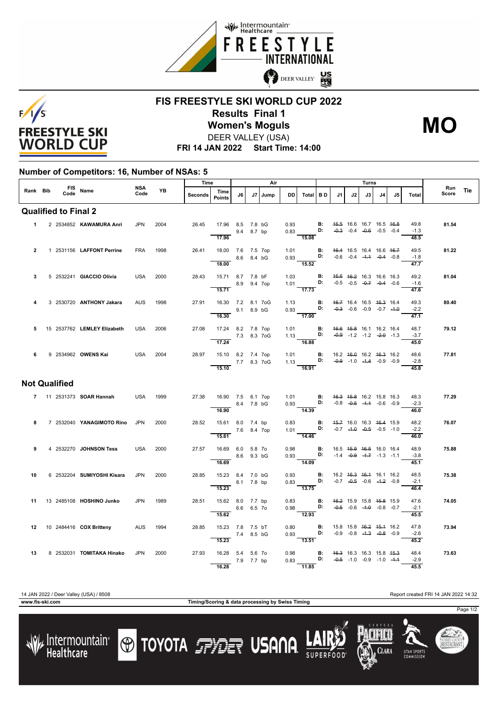



## **FIS FREESTYLE SKI WORLD CUP 2022 Results Final 1** DEER VALLEY (USA) **Women's Moguls MO**

**FRI 14 JAN 2022 Start Time: 14:00**

## **Number of Competitors: 16, Number of NSAs: 5**

|                             | Rank Bib  |  |      | FIS Name                    | NSA<br>Code | <b>YB</b> | Time           |                                           | Air          |      |      |      |                                                                                                                                   |    | Turns                               |    |                          |    |                                    | Run                                                    |       |     |
|-----------------------------|-----------|--|------|-----------------------------|-------------|-----------|----------------|-------------------------------------------|--------------|------|------|------|-----------------------------------------------------------------------------------------------------------------------------------|----|-------------------------------------|----|--------------------------|----|------------------------------------|--------------------------------------------------------|-------|-----|
|                             |           |  | Code |                             |             |           | <b>Seconds</b> | Time<br>Points                            | J6           | J7 I | Jump | DD.  | Total BD                                                                                                                          |    | J1                                  | J2 | J3                       | J4 | J5                                 | Total                                                  | Score | Tie |
| <b>Qualified to Final 2</b> |           |  |      |                             |             |           |                |                                           |              |      |      |      |                                                                                                                                   |    |                                     |    |                          |    |                                    |                                                        |       |     |
|                             | $1 \quad$ |  |      | 2 2534852 KAWAMURA Anri     | <b>JPN</b>  | 2004      | 26.45          | 17.96 8.5 7.8 bG<br>9.4 8.7 bp            |              |      |      |      | 0.93 <b>B:</b><br>0.83 <b>D:</b>                                                                                                  |    |                                     |    | 46.5 16.6 16.7 16.5 46.8 |    | $-0.3$ $-0.4$ $-0.6$ $-0.5$ $-0.4$ | 49.8<br>$-1.3$                                         | 81.54 |     |
|                             |           |  |      |                             |             |           |                | 17.96                                     |              |      |      |      | 15.08                                                                                                                             |    |                                     |    |                          |    |                                    | 48.5                                                   |       |     |
| $\overline{2}$              |           |  |      | 1 2531156 LAFFONT Perrine   | <b>FRA</b>  | 1998      | 26.41          | 18.00 7.6 7.5 7op<br>8.6 8.4 bG           |              |      |      |      | 1.01 <b>B:</b> 46.4 16.5 16.4 16.6 46.7<br>0.93 <b>D:</b> -0.6 -0.4 - <del>1.1</del> -0.4 -0.8                                    |    |                                     |    |                          |    |                                    | 49.5<br>$-1.8$                                         | 81.22 |     |
|                             |           |  |      |                             |             |           |                | 18.00                                     |              |      |      |      | 15.52                                                                                                                             |    |                                     |    |                          |    |                                    | $\frac{47.7}{ }$                                       |       |     |
| 3                           |           |  |      | 5 2532241 GIACCIO Olivia    | <b>USA</b>  | 2000      | 28.43          | 15.71 8.7 7.8 bF<br>8.9 9.4 7op           |              |      |      | 1.03 | $1.01$ D:                                                                                                                         | B: |                                     |    | 46.6 46.2 16.3 16.6 16.3 |    | $-0.5$ $-0.5$ $-0.7$ $-0.4$ $-0.6$ | 49.2<br>$-1.6$                                         | 81.04 |     |
|                             |           |  |      |                             |             |           |                | 15.71                                     |              |      |      |      | 17.73                                                                                                                             |    |                                     |    |                          |    |                                    | 47.6                                                   |       |     |
| 4                           |           |  |      | 3 2530720 ANTHONY Jakara    | <b>AUS</b>  | 1998      | 27.91          | 16.30 7.2 8.1 7oG<br>$9.1$ 8.9 bG         |              |      |      |      | 1.13 <b>B:</b> 46.7 16.4 16.5 46.3 16.4<br>0.93 <b>D:</b> -0.3 -0.6 -0.9 -0.7 -4.0                                                |    |                                     |    |                          |    |                                    | 49.3<br>$-2.2$                                         | 80.40 |     |
|                             |           |  |      |                             |             |           |                | 16.30                                     |              |      |      |      | 17.00                                                                                                                             |    |                                     |    |                          |    |                                    | 47.1                                                   |       |     |
| 5                           |           |  |      | 15 2537762 LEMLEY Elizabeth | <b>USA</b>  | 2006      | 27.08          | 17.24 8.2 7.8 7op                         | 7.3 8.3 7 oG |      |      | 1.01 |                                                                                                                                   |    | <b>B</b> : 46.6 45.8 16.1 16.2 16.4 |    |                          |    |                                    | 48.7<br>1.13 <b>D:</b> $-0.9$ -1.2 -1.2 -2.0 -1.3 -3.7 | 79.12 |     |
|                             |           |  |      |                             |             |           |                | 17.24                                     |              |      |      |      | 16.88                                                                                                                             |    |                                     |    |                          |    |                                    | 45.0                                                   |       |     |
| 6                           |           |  |      | 9 2534962 OWENS Kai         | USA         | 2004      | 28.97          | 15.10 8.2 7.4 7op<br>$- 7.7 8.3 70G$      |              |      |      |      | 1.01 <b>B:</b> 16.2 4 <del>6.0</del> 16.2 46.3 16.2<br>1.13 <b>D:</b> -0.9 -1.0 -1.4 -0.9 -0.9<br>16.91                           |    |                                     |    |                          |    |                                    | 48.6<br>$-2.8$                                         | 77.81 |     |
|                             |           |  |      |                             |             |           |                | 15.10                                     |              |      |      |      |                                                                                                                                   |    |                                     |    |                          |    |                                    | 45.8                                                   |       |     |
| <b>Not Qualified</b>        |           |  |      |                             |             |           |                |                                           |              |      |      |      |                                                                                                                                   |    |                                     |    |                          |    |                                    |                                                        |       |     |
|                             |           |  |      | 7 11 2531373 SOAR Hannah    | USA         | 1999      | 27.38          | 16.90 7.5 6.1 7op<br>$\frac{8.4}{7.8}$ bG |              |      |      |      | 1.01 <b>B</b> : 46.3 45.8 16.2 15.8 16.3<br>0.93 <b>D:</b> -0.8 -0.5 -1.4 -0.6 -0.9                                               |    |                                     |    |                          |    |                                    | 48.3<br>$-2.3$                                         | 77.29 |     |
|                             |           |  |      |                             |             |           |                | 16.90                                     |              |      |      |      | $\overline{14.39}$                                                                                                                |    |                                     |    |                          |    |                                    | 46.0                                                   |       |     |
| 8                           |           |  |      | 7 2532040 YANAGIMOTO Rino   | <b>JPN</b>  | 2000      | 28.52          | 15.61 8.0 7.4 bp                          | 7.6 8.4 7op  |      |      |      | 0.83 <b>B:</b> 4 <del>5.7</del> 16.0 16.3 46.4 15.9<br>1.01 <b>D:</b> -0.7 - <del>1.0</del> -0.5 -1.0                             |    |                                     |    |                          |    |                                    | 48.2<br>$-2.2$                                         | 76.07 |     |
| 9                           |           |  |      | 4 2532270 JOHNSON Tess      | <b>USA</b>  | 2000      | 27.57          | 15.61                                     |              |      |      |      | $\overline{14.46}$                                                                                                                |    |                                     |    |                          |    |                                    | 46.0<br>48.9                                           | 75.88 |     |
|                             |           |  |      |                             |             |           |                | 16.69 6.0 5.8 7o<br>8.6 9.3 bG<br>16.69   |              |      |      |      | 0.98 <b>B:</b> 16.5 4 <del>5.9</del> 46.5 16.0 16.4<br>0.93 <b>D:</b> $-1.4$ $-0.9$ $-1.7$ $-1.3$ $-1.1$<br>$-14.09$              |    |                                     |    |                          |    |                                    | $-3.8$<br>45.1                                         |       |     |
| 10                          |           |  |      | 6 2532204 SUMIYOSHI Kisara  | <b>JPN</b>  | 2000      | 28.85          | 15.23 8.4 7.0 bG                          |              |      |      |      |                                                                                                                                   |    |                                     |    |                          |    |                                    | 48.5                                                   | 75.38 |     |
|                             |           |  |      |                             |             |           |                | 8.1 7.8 bp<br>15.23                       |              |      |      |      | 0.93 <b>B</b> : 16.2 4 <del>6.3</del> 46.4 16.1 16.2<br>0.83 <b>D:</b> -0.7 -0.5 -0.6 -4. <del>2</del> -0.8<br>$\overline{13.75}$ |    |                                     |    |                          |    |                                    | $-2.1$<br>46.4                                         |       |     |
| 11                          |           |  |      | 13 2485108 HOSHINO Junko    | <b>JPN</b>  | 1989      | 28.51          | 15.62 8.0 7.7 bp                          |              |      |      |      |                                                                                                                                   |    |                                     |    |                          |    |                                    | 47.6                                                   | 74.05 |     |
|                             |           |  |      |                             |             |           |                | 6.6 6.5 70<br>15.62                       |              |      |      |      | 0.83 <b>B:</b> 4 <del>6.2</del> 15.9 15.8 45.8 15.9<br>0.98 <b>D:</b> -0.5 -0.6 -1.0 -0.8 -0.7<br>12.93                           |    |                                     |    |                          |    |                                    | $-2.1$<br>45.5                                         |       |     |
|                             |           |  |      | 12 10 2484416 COX Britteny  | AUS         | 1994      | 28.85          | 15.23 7.8 7.5 bT                          |              |      |      |      |                                                                                                                                   |    |                                     |    |                          |    |                                    | 47.8                                                   | 73.94 |     |
|                             |           |  |      |                             |             |           |                | 7.4 8.5 bG<br>15.23                       |              |      |      |      | 0.80 <b>B:</b> 15.8 15.8 4 <del>6.2</del> 45.4 16.2<br>0.93 <b>D:</b> -0.9 -0.8 -4.3 -0.8 -0.9<br>$\overline{13.51}$              |    |                                     |    |                          |    |                                    | $-2.6$<br>45.2                                         |       |     |
| 13                          |           |  |      | 8 2532031 TOMITAKA Hinako   | <b>JPN</b>  | 2000      | 27.93          | 16.28 5.4 5.6 7o                          |              |      |      |      | 0.98 <b>B:</b> 4 <del>6.3</del> 16.3 16.3 15.8 4 <del>5.3</del><br>0.83 <b>D:</b> -0.5 -1.0 -0.9 -1.0 -4.4                        |    |                                     |    |                          |    |                                    | 48.4                                                   | 73.63 |     |
|                             |           |  |      |                             |             |           |                | 7.9 7.7 bp<br>16.28                       |              |      |      |      | $\overline{11.85}$                                                                                                                |    |                                     |    |                          |    |                                    | $-2.9$<br>45.5                                         |       |     |

**www.fis-ski.com Timing/Scoring & data processing by Swiss Timing**

14 JAN 2022 / Deer Valley (USA) / 8508 Report created FRI 14 JAN 2022 14:32

**UTAH SPORT** 

Page 1/2

SUMMIT COUNT<br>**RESTAURAN**T





**TOYOTA FRIET USANA**